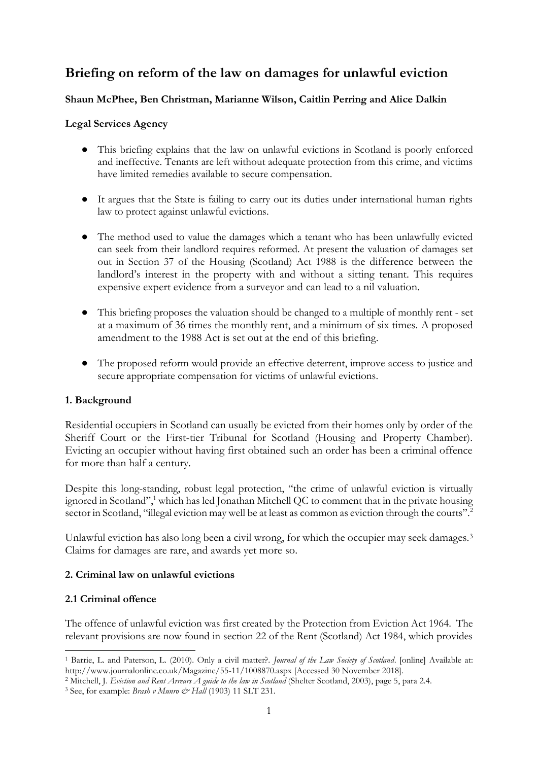# **Briefing on reform of the law on damages for unlawful eviction**

## **Shaun McPhee, Ben Christman, Marianne Wilson, Caitlin Perring and Alice Dalkin**

#### **Legal Services Agency**

- This briefing explains that the law on unlawful evictions in Scotland is poorly enforced and ineffective. Tenants are left without adequate protection from this crime, and victims have limited remedies available to secure compensation.
- It argues that the State is failing to carry out its duties under international human rights law to protect against unlawful evictions.
- The method used to value the damages which a tenant who has been unlawfully evicted can seek from their landlord requires reformed. At present the valuation of damages set out in Section 37 of the Housing (Scotland) Act 1988 is the difference between the landlord's interest in the property with and without a sitting tenant. This requires expensive expert evidence from a surveyor and can lead to a nil valuation.
- This briefing proposes the valuation should be changed to a multiple of monthly rent set at a maximum of 36 times the monthly rent, and a minimum of six times. A proposed amendment to the 1988 Act is set out at the end of this briefing.
- The proposed reform would provide an effective deterrent, improve access to justice and secure appropriate compensation for victims of unlawful evictions.

## **1. Background**

Residential occupiers in Scotland can usually be evicted from their homes only by order of the Sheriff Court or the First-tier Tribunal for Scotland (Housing and Property Chamber). Evicting an occupier without having first obtained such an order has been a criminal offence for more than half a century.

Despite this long-standing, robust legal protection, "the crime of unlawful eviction is virtually ignored in Scotland",<sup>1</sup> which has led Jonathan Mitchell QC to comment that in the private housing sector in Scotland, "illegal eviction may well be at least as common as eviction through the courts".<sup>2</sup>

Unlawful eviction has also long been a civil wrong, for which the occupier may seek damages.<sup>3</sup> Claims for damages are rare, and awards yet more so.

#### **2. Criminal law on unlawful evictions**

#### **2.1 Criminal offence**

The offence of unlawful eviction was first created by the Protection from Eviction Act 1964. The relevant provisions are now found in section 22 of the Rent (Scotland) Act 1984, which provides

<sup>1</sup> Barrie, L. and Paterson, L. (2010). Only a civil matter?. *Journal of the Law Society of Scotland*. [online] Available at: http://www.journalonline.co.uk/Magazine/55-11/1008870.aspx [Accessed 30 November 2018].

<sup>2</sup> Mitchell, J. *Eviction and Rent Arrears A guide to the law in Scotland* (Shelter Scotland, 2003), page 5, para 2.4.

<sup>&</sup>lt;sup>3</sup> See, for example: *Brash v Munro & Hall* (1903) 11 SLT 231.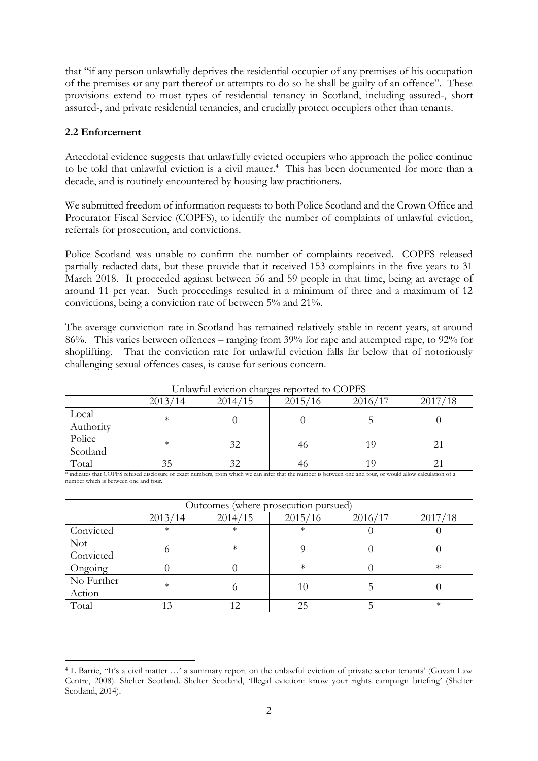that "if any person unlawfully deprives the residential occupier of any premises of his occupation of the premises or any part thereof or attempts to do so he shall be guilty of an offence". These provisions extend to most types of residential tenancy in Scotland, including assured-, short assured-, and private residential tenancies, and crucially protect occupiers other than tenants.

#### **2.2 Enforcement**

Anecdotal evidence suggests that unlawfully evicted occupiers who approach the police continue to be told that unlawful eviction is a civil matter.<sup>4</sup> This has been documented for more than a decade, and is routinely encountered by housing law practitioners.

We submitted freedom of information requests to both Police Scotland and the Crown Office and Procurator Fiscal Service (COPFS), to identify the number of complaints of unlawful eviction, referrals for prosecution, and convictions.

Police Scotland was unable to confirm the number of complaints received. COPFS released partially redacted data, but these provide that it received 153 complaints in the five years to 31 March 2018. It proceeded against between 56 and 59 people in that time, being an average of around 11 per year. Such proceedings resulted in a minimum of three and a maximum of 12 convictions, being a conviction rate of between 5% and 21%.

The average conviction rate in Scotland has remained relatively stable in recent years, at around 86%. This varies between offences – ranging from 39% for rape and attempted rape, to 92% for shoplifting. That the conviction rate for unlawful eviction falls far below that of notoriously challenging sexual offences cases, is cause for serious concern.

| Unlawful eviction charges reported to COPFS |         |         |         |         |         |  |  |  |
|---------------------------------------------|---------|---------|---------|---------|---------|--|--|--|
|                                             | 2013/14 | 2014/15 | 2015/16 | 2016/17 | 2017/18 |  |  |  |
| Local<br>Authority                          | $\ast$  |         |         |         |         |  |  |  |
| Police<br>Scotland                          | $\ast$  | 32      | 46      | 19      | 21      |  |  |  |
| Total                                       |         |         |         |         |         |  |  |  |

\* indicates that COPFS refused disclosure of exact numbers, from which we can infer that the number is between one and four, or would allow calculation of a number which is between one and four.

| Outcomes (where prosecution pursued) |         |         |         |         |         |  |  |
|--------------------------------------|---------|---------|---------|---------|---------|--|--|
|                                      | 2013/14 | 2014/15 | 2015/16 | 2016/17 | 2017/18 |  |  |
| Convicted                            | $\ast$  | $^\ast$ | ж       |         |         |  |  |
| <b>Not</b><br>Convicted              |         | $\ast$  |         |         |         |  |  |
| Ongoing                              |         |         | $\ast$  |         | $\ast$  |  |  |
| No Further<br>Action                 | $\ast$  |         | 10      |         |         |  |  |
| Total                                |         |         | 25      |         | $\ast$  |  |  |

<sup>4</sup> L Barrie, ''It's a civil matter …' a summary report on the unlawful eviction of private sector tenants' (Govan Law Centre, 2008). Shelter Scotland. Shelter Scotland, 'Illegal eviction: know your rights campaign briefing' (Shelter Scotland, 2014).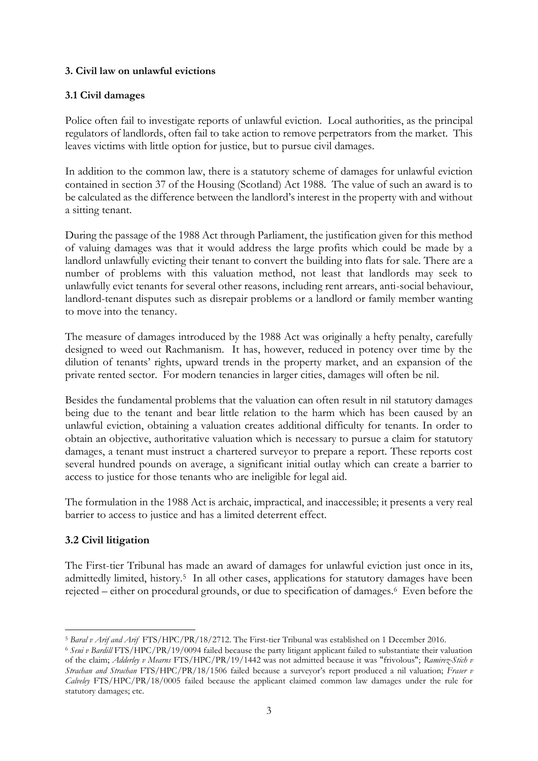## **3. Civil law on unlawful evictions**

#### **3.1 Civil damages**

Police often fail to investigate reports of unlawful eviction. Local authorities, as the principal regulators of landlords, often fail to take action to remove perpetrators from the market. This leaves victims with little option for justice, but to pursue civil damages.

In addition to the common law, there is a statutory scheme of damages for unlawful eviction contained in section 37 of the Housing (Scotland) Act 1988. The value of such an award is to be calculated as the difference between the landlord's interest in the property with and without a sitting tenant.

During the passage of the 1988 Act through Parliament, the justification given for this method of valuing damages was that it would address the large profits which could be made by a landlord unlawfully evicting their tenant to convert the building into flats for sale. There are a number of problems with this valuation method, not least that landlords may seek to unlawfully evict tenants for several other reasons, including rent arrears, anti-social behaviour, landlord-tenant disputes such as disrepair problems or a landlord or family member wanting to move into the tenancy.

The measure of damages introduced by the 1988 Act was originally a hefty penalty, carefully designed to weed out Rachmanism. It has, however, reduced in potency over time by the dilution of tenants' rights, upward trends in the property market, and an expansion of the private rented sector. For modern tenancies in larger cities, damages will often be nil.

Besides the fundamental problems that the valuation can often result in nil statutory damages being due to the tenant and bear little relation to the harm which has been caused by an unlawful eviction, obtaining a valuation creates additional difficulty for tenants. In order to obtain an objective, authoritative valuation which is necessary to pursue a claim for statutory damages, a tenant must instruct a chartered surveyor to prepare a report. These reports cost several hundred pounds on average, a significant initial outlay which can create a barrier to access to justice for those tenants who are ineligible for legal aid.

The formulation in the 1988 Act is archaic, impractical, and inaccessible; it presents a very real barrier to access to justice and has a limited deterrent effect.

## **3.2 Civil litigation**

The First-tier Tribunal has made an award of damages for unlawful eviction just once in its, admittedly limited, history.<sup>5</sup> In all other cases, applications for statutory damages have been rejected – either on procedural grounds, or due to specification of damages.<sup>6</sup> Even before the

<sup>5</sup> *Baral v Arif and Arif* FTS/HPC/PR/18/2712. The First-tier Tribunal was established on 1 December 2016.

<sup>6</sup> *Seui v Bardill* FTS/HPC/PR/19/0094 failed because the party litigant applicant failed to substantiate their valuation of the claim; *Adderley v Mearns* FTS/HPC/PR/19/1442 was not admitted because it was "frivolous"; *Ramirez-Stich v Strachan and Strachan* FTS/HPC/PR/18/1506 failed because a surveyor's report produced a nil valuation; *Fraser v Calveley* FTS/HPC/PR/18/0005 failed because the applicant claimed common law damages under the rule for statutory damages; etc.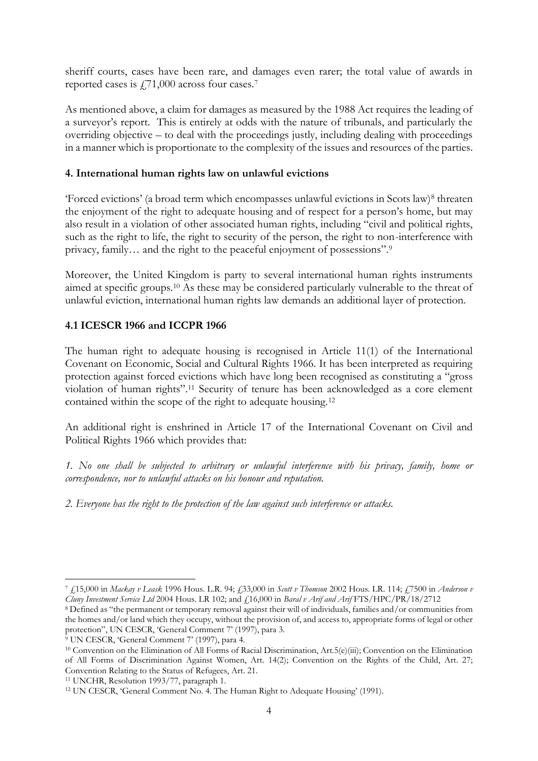sheriff courts, cases have been rare, and damages even rarer; the total value of awards in reported cases is  $f$ ,71,000 across four cases.<sup>7</sup>

As mentioned above, a claim for damages as measured by the 1988 Act requires the leading of a surveyor's report. This is entirely at odds with the nature of tribunals, and particularly the overriding objective – to deal with the proceedings justly, including dealing with proceedings in a manner which is proportionate to the complexity of the issues and resources of the parties.

## **4. International human rights law on unlawful evictions**

'Forced evictions' (a broad term which encompasses unlawful evictions in Scots law)<sup>8</sup> threaten the enjoyment of the right to adequate housing and of respect for a person's home, but may also result in a violation of other associated human rights, including "civil and political rights, such as the right to life, the right to security of the person, the right to non-interference with privacy, family… and the right to the peaceful enjoyment of possessions".<sup>9</sup>

Moreover, the United Kingdom is party to several international human rights instruments aimed at specific groups.<sup>10</sup> As these may be considered particularly vulnerable to the threat of unlawful eviction, international human rights law demands an additional layer of protection.

## **4.1 ICESCR 1966 and ICCPR 1966**

The human right to adequate housing is recognised in Article 11(1) of the International Covenant on Economic, Social and Cultural Rights 1966. It has been interpreted as requiring protection against forced evictions which have long been recognised as constituting a "gross violation of human rights".<sup>11</sup> Security of tenure has been acknowledged as a core element contained within the scope of the right to adequate housing.<sup>12</sup>

An additional right is enshrined in Article 17 of the International Covenant on Civil and Political Rights 1966 which provides that:

*1. No one shall be subjected to arbitrary or unlawful interference with his privacy, family, home or correspondence, nor to unlawful attacks on his honour and reputation.*

*2. Everyone has the right to the protection of the law against such interference or attacks.*

<sup>7</sup> £15,000 in *Mackay v Leask* 1996 Hous. L.R. 94; £33,000 in *Scott v Thomson* 2002 Hous. LR. 114; £7500 in *Anderson v Cluny Investment Service Ltd* 2004 Hous. LR 102; and £16,000 in *Baral v Arif and Arif* FTS/HPC/PR/18/2712

<sup>8</sup> Defined as "the permanent or temporary removal against their will of individuals, families and/or communities from the homes and/or land which they occupy, without the provision of, and access to, appropriate forms of legal or other protection", UN CESCR, 'General Comment 7' (1997), para 3.

<sup>9</sup> UN CESCR, 'General Comment 7' (1997), para 4.

<sup>10</sup> Convention on the Elimination of All Forms of Racial Discrimination, Art.5(e)(iii); Convention on the Elimination of All Forms of Discrimination Against Women, Art. 14(2); Convention on the Rights of the Child, Art. 27; Convention Relating to the Status of Refugees, Art. 21.

<sup>11</sup> UNCHR, Resolution 1993/77, paragraph 1.

<sup>12</sup> UN CESCR, 'General Comment No. 4. The Human Right to Adequate Housing' (1991).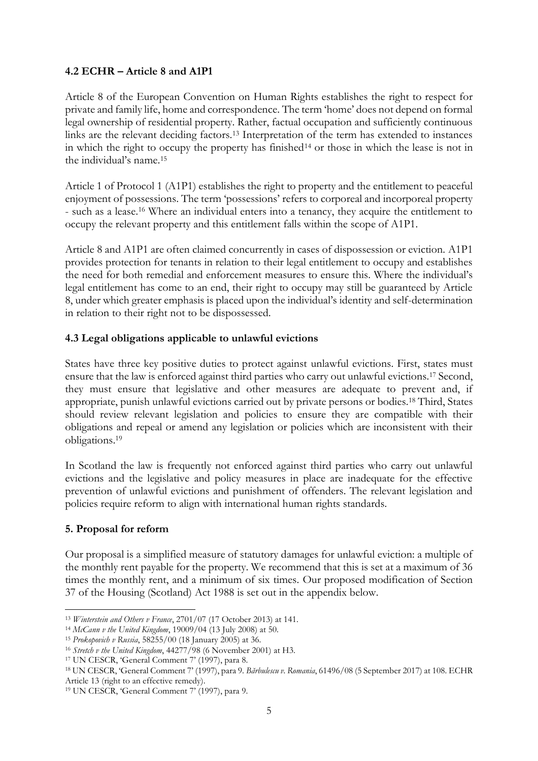## **4.2 ECHR – Article 8 and A1P1**

Article 8 of the European Convention on Human Rights establishes the right to respect for private and family life, home and correspondence. The term 'home' does not depend on formal legal ownership of residential property. Rather, factual occupation and sufficiently continuous links are the relevant deciding factors.<sup>13</sup> Interpretation of the term has extended to instances in which the right to occupy the property has finished<sup>14</sup> or those in which the lease is not in the individual's name.<sup>15</sup>

Article 1 of Protocol 1 (A1P1) establishes the right to property and the entitlement to peaceful enjoyment of possessions. The term 'possessions' refers to corporeal and incorporeal property - such as a lease.<sup>16</sup> Where an individual enters into a tenancy, they acquire the entitlement to occupy the relevant property and this entitlement falls within the scope of A1P1.

Article 8 and A1P1 are often claimed concurrently in cases of dispossession or eviction. A1P1 provides protection for tenants in relation to their legal entitlement to occupy and establishes the need for both remedial and enforcement measures to ensure this. Where the individual's legal entitlement has come to an end, their right to occupy may still be guaranteed by Article 8, under which greater emphasis is placed upon the individual's identity and self-determination in relation to their right not to be dispossessed.

## **4.3 Legal obligations applicable to unlawful evictions**

States have three key positive duties to protect against unlawful evictions. First, states must ensure that the law is enforced against third parties who carry out unlawful evictions.<sup>17</sup> Second, they must ensure that legislative and other measures are adequate to prevent and, if appropriate, punish unlawful evictions carried out by private persons or bodies.<sup>18</sup> Third, States should review relevant legislation and policies to ensure they are compatible with their obligations and repeal or amend any legislation or policies which are inconsistent with their obligations.<sup>19</sup>

In Scotland the law is frequently not enforced against third parties who carry out unlawful evictions and the legislative and policy measures in place are inadequate for the effective prevention of unlawful evictions and punishment of offenders. The relevant legislation and policies require reform to align with international human rights standards.

## **5. Proposal for reform**

Our proposal is a simplified measure of statutory damages for unlawful eviction: a multiple of the monthly rent payable for the property. We recommend that this is set at a maximum of 36 times the monthly rent, and a minimum of six times. Our proposed modification of Section 37 of the Housing (Scotland) Act 1988 is set out in the appendix below.

<sup>13</sup> *Winterstein and Others v France*, 2701/07 (17 October 2013) at 141.

<sup>14</sup> *McCann v the United Kingdom*, 19009/04 (13 July 2008) at 50.

<sup>15</sup> *Prokopovich v Russia*, 58255/00 (18 January 2005) at 36.

<sup>16</sup> *Stretch v the United Kingdom*, 44277/98 (6 November 2001) at H3.

<sup>17</sup> UN CESCR, 'General Comment 7' (1997), para 8.

<sup>18</sup> UN CESCR, 'General Comment 7' (1997), para 9. *Bărbulescu v. Romania*, 61496/08 (5 September 2017) at 108. ECHR Article 13 (right to an effective remedy).

<sup>19</sup> UN CESCR, 'General Comment 7' (1997), para 9.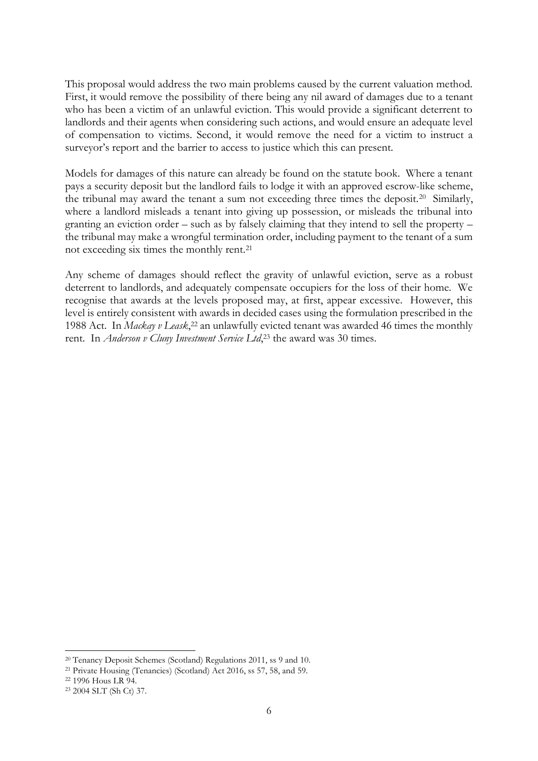This proposal would address the two main problems caused by the current valuation method. First, it would remove the possibility of there being any nil award of damages due to a tenant who has been a victim of an unlawful eviction. This would provide a significant deterrent to landlords and their agents when considering such actions, and would ensure an adequate level of compensation to victims. Second, it would remove the need for a victim to instruct a surveyor's report and the barrier to access to justice which this can present.

Models for damages of this nature can already be found on the statute book. Where a tenant pays a security deposit but the landlord fails to lodge it with an approved escrow-like scheme, the tribunal may award the tenant a sum not exceeding three times the deposit.<sup>20</sup> Similarly, where a landlord misleads a tenant into giving up possession, or misleads the tribunal into granting an eviction order – such as by falsely claiming that they intend to sell the property – the tribunal may make a wrongful termination order, including payment to the tenant of a sum not exceeding six times the monthly rent.<sup>21</sup>

Any scheme of damages should reflect the gravity of unlawful eviction, serve as a robust deterrent to landlords, and adequately compensate occupiers for the loss of their home. We recognise that awards at the levels proposed may, at first, appear excessive. However, this level is entirely consistent with awards in decided cases using the formulation prescribed in the 1988 Act. In *Mackay v Leask*, <sup>22</sup> an unlawfully evicted tenant was awarded 46 times the monthly rent. In *Anderson v Cluny Investment Service Ltd*, <sup>23</sup> the award was 30 times.

<sup>20</sup> Tenancy Deposit Schemes (Scotland) Regulations 2011, ss 9 and 10.

<sup>21</sup> Private Housing (Tenancies) (Scotland) Act 2016, ss 57, 58, and 59.

<sup>22</sup> 1996 Hous LR 94.

<sup>23</sup> 2004 SLT (Sh Ct) 37.